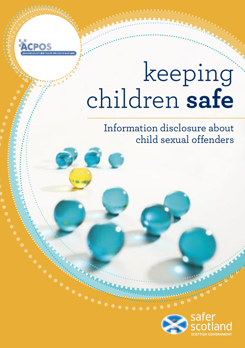# keeping children **safe**

Information disclosure about child sexual offenders

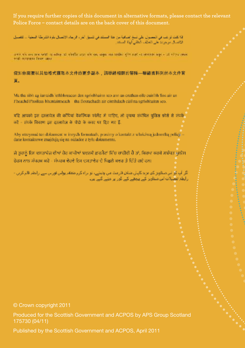**If you require further copies of this document in alternative formats, please contact the relevant Police Force – contact details are on the back cover of this document.**

إذا كتت تراغب في المسول على نبيه إضافية من هذا المستدخل تشبق أخراء الرجاء الإنسال بثرة الكرطة المعتبة – تناسيل الإنصال مرجودة طي العثف الطفي لهذا المنفد

and the events with it wife at similar and the set of the state of the first and the events were at three costs test compara from and

促如你需要以其他格式寝取本文件的更多副本,腈聯絡相關的警隊—曝絡資料列於本文件背 п.

Ma tha sibh ag iarraidh lethbhreacan den sgrìobhainn seo ann an cruthan eile cuiribh fins air an Fheachd Phoileas bhuntainneach - tha flosrachadh air còmhdach cùil na sgrìobhainn seo.

बढ़ि आपको इस इस्लावेज की कांपियां वैकलिपक कॉलैंड में चारिए, तो कपया संवीधित प्रतिश प्रति से संपर्क करें - संपर्क विवरण इस उस्लावेज के पीछे के कवर पर डिए गए हैं.

Aby otrzymuż ten dokument w innych formatach, prosinw o kontakt z właściwa jednostka policjidane kontaktowe znajdują się na okładce z tyłu dokumentu.

ਜੇ ਤੁਹਾਨੂੰ ਇਸ ਦਸਤਾਵੇਜ਼ ਦੀਆਂ ਹੋਰ ਕਾਪੀਆਂ ਬਦਲਵੇਂ ਛਾਰਮੈਟਾਂ ਵਿੱਚ ਜ਼ਾਹੀਦੀ ਹੈ ਤਾਂ, ਕਿਰਪਾ ਕਰਕੇ ਸਬੰਧਤ ਪੁਲੀਸ ਫੇਰਸ ਨਾਲ ਸੰਪਰਕ ਕਰੋ - ਸੰਪਰਕ ਵੇਰਵੇ ਇਸ ਦਸਤਾਵੇਜ਼ ਦੇ ਪਿਛਲੇ ਕਵਰ ਤੇ ਦਿੱਤੇ ਗਏ ਹਨ।

اگر آپ کو اس میتاویز کم مرید کاپیال شامل فارست می چایشی، تو براه کرم متعلقہ پولیں فور پی سے رابطہ قائر کریں -ارابطۂ تعطیلات اس منتاویر کیے پیچھنے کیے گرز پر دینے گیے ہیں۔

© Crown copyright 2011

Produced for the Scottish Government and ACPOS by APS Group Scotland 175730 (04/11)

Published by the Scottish Government and ACPOS, April 2011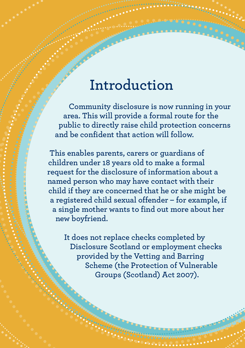## **Introduction**

**Community disclosure is now running in your area. This will provide a formal route for the public to directly raise child protection concerns and be confident that action will follow.**

**This enables parents, carers or guardians of children under 18 years old to make a formal request for the disclosure of information about a named person who may have contact with their child if they are concerned that he or she might be a registered child sexual offender – for example, if a single mother wants to find out more about her new boyfriend.**

**It does not replace checks completed by Disclosure Scotland or employment checks provided by the Vetting and Barring Scheme (the Protection of Vulnerable Groups (Scotland) Act 2007).**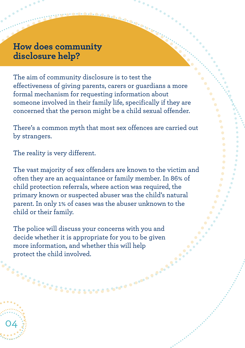## **How does community disclosure help?**

The aim of community disclosure is to test the effectiveness of giving parents, carers or guardians a more formal mechanism for requesting information about someone involved in their family life, specifically if they are concerned that the person might be a child sexual offender.

There's a common myth that most sex offences are carried out by strangers.

The reality is very different.

04

The vast majority of sex offenders are known to the victim and often they are an acquaintance or family member. In 86% of child protection referrals, where action was required, the primary known or suspected abuser was the child's natural parent. In only 1% of cases was the abuser unknown to the child or their family.

The police will discuss your concerns with you and decide whether it is appropriate for you to be given more information, and whether this will help protect the child involved.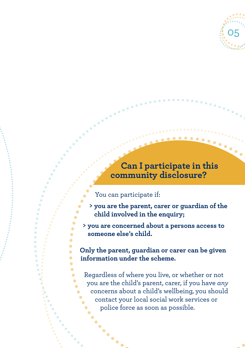

#### **Can I participate in this community disclosure?**

#### You can participate if:

.<br>.<br>.

Ä

- **> you are the parent, carer or guardian of the child involved in the enquiry;**
- **> you are concerned about a persons access to someone else's child.**

**Only the parent, guardian or carer can be given information under the scheme.**

Regardless of where you live, or whether or not you are the child's parent, carer, if you have *any* concerns about a child's wellbeing, you should contact your local social work services or police force as soon as possible.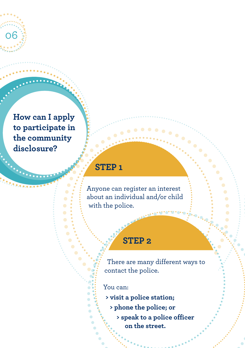**How can I apply to participate in the community disclosure?**

06

## **STEP 1**

Anyone can register an interest about an individual and/or child with the police.

## **STEP 2**

There are many different ways to contact the police.

You can:

**> visit a police station;**

- **> phone the police; or**
	- **> speak to a police officer on the street.**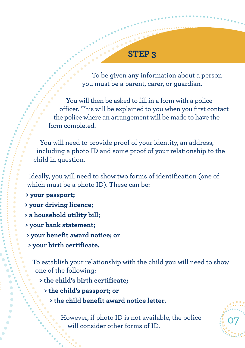To be given any information about a person you must be a parent, carer, or guardian.

You will then be asked to fill in a form with a police officer. This will be explained to you when you first contact the police where an arrangement will be made to have the form completed.

You will need to provide proof of your identity, an address, including a photo ID and some proof of your relationship to the child in question.

Ideally, you will need to show two forms of identification (one of which must be a photo ID). These can be:

- **> your passport;**
- **> your driving licence;**
- **> a household utility bill;**
- **> your bank statement;**
- **> your benefit award notice; or**
- **> your birth certificate.**

To establish your relationship with the child you will need to show one of the following:

- **> the child's birth certificate;**
	- **> the child's passport; or**
		- **> the child benefit award notice letter.**

However, if photo ID is not available, the police  $\frac{3}{2}$  O7

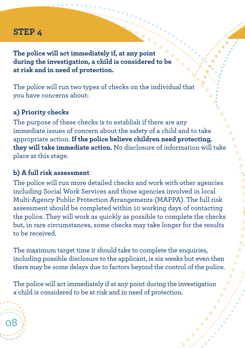**The police will act immediately if, at any point during the investigation, a child is considered to be at risk and in need of protection.**

The police will run two types of checks on the individual that you have concerns about:

#### **a) Priority checks**

The purpose of these checks is to establish if there are any immediate issues of concern about the safety of a child and to take appropriate action. **If the police believe children need protecting, they will take immediate action.** No disclosure of information will take place at this stage.

#### **b) A full risk assessment**

08

The police will run more detailed checks and work with other agencies including Social Work Services and those agencies involved in local Multi-Agency Public Protection Arrangements (MAPPA). The full risk assessment should be completed within 10 working days of contacting the police. They will work as quickly as possible to complete the checks but, in rare circumstances, some checks may take longer for the results to be received.

The maximum target time it should take to complete the enquiries, including possible disclosure to the applicant, is six weeks but even then there may be some delays due to factors beyond the control of the police.

The police will act immediately if at any point during the investigation a child is considered to be at risk and in need of protection.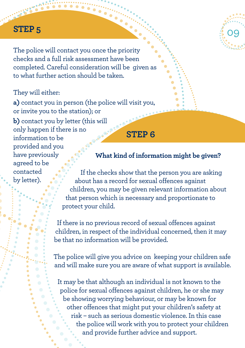The police will contact you once the priority checks and a full risk assessment have been completed. Careful consideration will be given as to what further action should be taken.

#### They will either:

**a)** contact you in person (the police will visit you, or invite you to the station); or **b)** contact you by letter (this will only happen if there is no information to be provided and you have previously agreed to be contacted by letter). **STEP 6**

#### **What kind of information might be given?**

09

If the checks show that the person you are asking about has a record for sexual offences against children, you may be given relevant information about that person which is necessary and proportionate to protect your child.

If there is no previous record of sexual offences against children, in respect of the individual concerned, then it may be that no information will be provided.

The police will give you advice on keeping your children safe and will make sure you are aware of what support is available.

It may be that although an individual is not known to the police for sexual offences against children, he or she may be showing worrying behaviour, or may be known for other offences that might put your children's safety at risk – such as serious domestic violence. In this case the police will work with you to protect your children and provide further advice and support.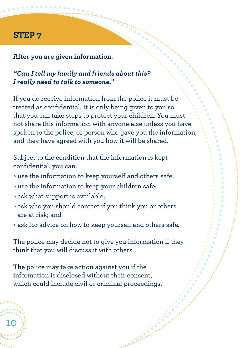#### **After you are given information.**

#### *"Can I tell my family and friends about this? I really need to talk to someone."*

If you do receive information from the police it must be treated as confidential. It is only being given to you so that you can take steps to protect your children. You must not share this information with anyone else unless you have spoken to the police, or person who gave you the information, and they have agreed with you how it will be shared.

Subject to the condition that the information is kept confidential, you can:

- > use the information to keep yourself and others safe;
- > use the information to keep your children safe;
- > ask what support is available;

10

- > ask who you should contact if you think you or others are at risk; and
- > ask for advice on how to keep yourself and others safe.

The police may decide not to give you information if they think that you will discuss it with others.

**Branch** 

The police may take action against you if the information is disclosed without their consent, which could include civil or criminal proceedings.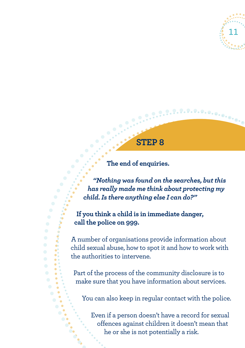

## **STEP 8**

#### **The end of enquiries.**

*"Nothing was found on the searches, butthis has really made me think about protecting my child.Is there anything else I can do?"*

**If you think a child is in immediate danger, call the police on 999.**

A number of organisations provide information about child sexual abuse, how to spot it and how to work with the authorities to intervene.

Part of the process of the community disclosure is to make sure that you have information about services.

You can also keep in regular contact with the police.

Even if a person doesn't have a record for sexual offences against children it doesn't mean that he or she is not potentially a risk.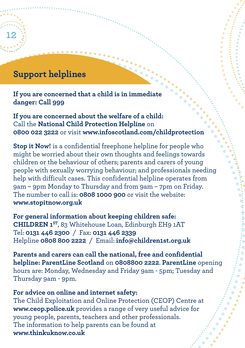## **Support helplines**

12

**If you are concerned that a child is in immediate danger: Call 999**

**If you are concerned about the welfare of a child:** Call the **National Child Protection Helpline** on **0800 022 3222** or visit **www.infoscotland.com/childprotection**

**Stop it Now!** is a confidential freephone helpline for people who might be worried about their own thoughts and feelings towards children or the behaviour of others; parents and carers of young people with sexually worrying behaviour; and professionals needing help with difficult cases. This confidential helpline operates from 9am – 9pm Monday to Thursday and from 9am – 7pm on Friday. The number to call is: **0808 1000 900** or visit the website: **www.stopitnow.org.uk**

**For general information about keeping children safe: CHILDREN 1ST**, 83 Whitehouse Loan, Edinburgh EH9 1AT Tel: **0131 446 2300** / Fax: **0131 446 2339** Helpline **0808 800 2222** / Email: **info@children1st.org.uk**

**Parents and carers can call the national, free and confidential helpline: ParentLine Scotland** on **0808800 2222**. **ParentLine** opening hours are: Monday, Wednesday and Friday 9am - 5pm; Tuesday and Thursday 9am - 9pm.

#### **For advice on online and internet safety:**

The Child Exploitation and Online Protection (CEOP) Centre at **www.ceop.police.uk** provides a range of very useful advice for young people, parents, teachers and other professionals. The information to help parents can be found at **www.thinkuknow.co.uk**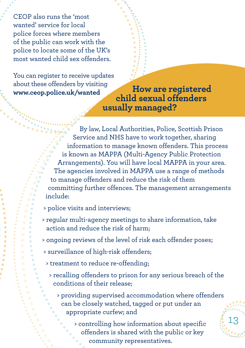CEOP also runs the 'most wanted' service for local police forces where members of the public can work with the police to locate some of the UK's most wanted child sex offenders.

You can register to receive updates about these offenders by visiting

**www.ceop.police.uk/wanted How are registered child sexual offenders usually managed?**

> By law, Local Authorities, Police, Scottish Prison Service and NHS have to work together, sharing information to manage known offenders. This process is known as MAPPA (Multi-Agency Public Protection Arrangements). You will have local MAPPA in your area. The agencies involved in MAPPA use a range of methods to manage offenders and reduce the risk of them committing further offences. The management arrangements include:

> police visits and interviews;

- > regular multi-agency meetings to share information, take action and reduce the risk of harm;
- > ongoing reviews of the level of risk each offender poses;
- > surveillance of high-risk offenders;
- > treatment to reduce re-offending;
	- > recalling offenders to prison for any serious breach of the conditions of their release;
		- > providing supervised accommodation where offenders can be closely watched, tagged or put under an appropriate curfew; and

> controlling how information about specific offenders is shared with the public or key community representatives.

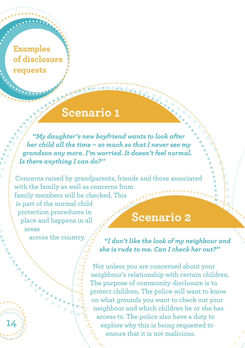## **Examples of disclosure requests**

## **Scenario 1**

*''My daughter's new boyfriend wants to look after her child all the time – so much so that I never see my grandson any more. I'm worried. It doesn't feel normal. Is there anything I can do?''*

Concerns raised by grandparents, friends and those associated with the family as well as concerns from family members will be checked. This is part of the normal child protection procedures in place and happens in all areas **Scenario 2**

across the country.

14

*"I don't like the look of my neighbour and she is rude to me. Can I check her out?"*

Not unless you are concerned about your neighbour's relationship with certain children. The purpose of community disclosure is to protect children. The police will want to know on what grounds you want to check out your neighbour and which children he or she has access to. The police also have a duty to explore why this is being requested to ensure that it is not malicious.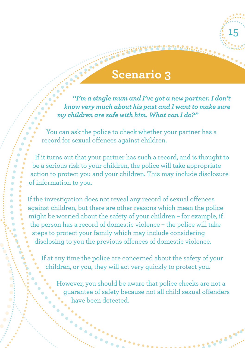## **Scenario 3**

15

*''I'm a single mum and I've got a new partner. I don't know very much about his past and I want to make sure my children are safe with him. What can I do?"*

You can ask the police to check whether your partner has a record for sexual offences against children.

If it turns out that your partner has such a record, and is thought to be a serious risk to your children, the police will take appropriate action to protect you and your children. This may include disclosure of information to you.

If the investigation does not reveal any record of sexual offences against children, but there are other reasons which mean the police might be worried about the safety of your children – for example, if the person has a record of domestic violence – the police will take steps to protect your family which may include considering disclosing to you the previous offences of domestic violence.

If at any time the police are concerned about the safety of your children, or you, they will act very quickly to protect you.

However, you should be aware that police checks are not a guarantee of safety because not all child sexual offenders have been detected.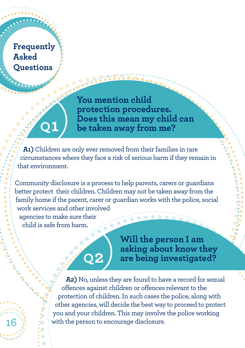**Frequently Asked Questions**

16

**Q1**)

**You mention child protection procedures. Does this mean my child can be taken away from me?**

**A1)** Children are only ever removed from their families in rare circumstances where they face a risk of serious harm if they remain in that environment.

Community disclosure is a process to help parents, carers or guardians better protect their children. Children may not be taken away from the family home if the parent, carer or guardian works with the police, social work services and other involved agencies to make sure their child is safe from harm.

**Q2**)

**Will the person I am asking about know they are being investigated?**

**A2)** No, unless they are found to have a record for sexual offences against children or offences relevant to the protection of children. In such cases the police, along with other agencies, will decide the best way to proceed to protect you and your children. This may involve the police working with the person to encourage disclosure.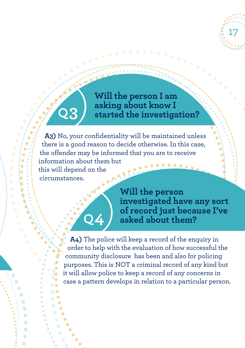

**Will the person I am asking about know I started the investigation?**

**A3)** No, your confidentiality will be maintained unless there is a good reason to decide otherwise. In this case, the offender may be informed that you are to receive information about them but this will depend on the circumstances.

**Q4**)

**Q3**)

**Will the person investigated have any sort of record just because I've asked about them?**

**A4)** The police will keep a record of the enquiry in order to help with the evaluation of how successful the community disclosure has been and also for policing purposes. This is NOT a criminal record of any kind but it will allow police to keep a record of any concerns in case a pattern develops in relation to a particular person.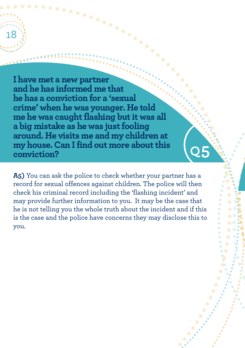**I have met a new partner and he has informed me that he has a conviction for a 'sexual crime' when he was younger. He told me** he was caught flashing but it was all **a big mistake as he was justfooling around. He visits me and my children at my house. Can Ifind out more aboutthis conviction?**

18

**A5)** You can ask the police to check whether your partner has a record for sexual offences against children. The police will then check his criminal record including the 'flashing incident' and may provide further information to you. It may be the case that he is not telling you the whole truth about the incident and if this is the case and the police have concerns they may disclose this to you.

(**Q5**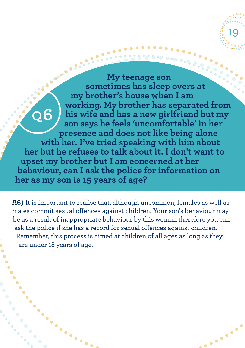**CALL AND READ My teenage son sometimes has sleep overs at my brother's house when I am working. My brother has separated from Q6his wife and has a new girlfriend but my son says he feels 'uncomfortable' in her presence and does not like being alone with her. I've tried speaking with him about her but he refuses to talk about it. I don't want to upset my brother but I am concerned at her behaviour, can I ask the police for information on her as my son is 15 years of age?**

19

**Branch** 

 $\begin{array}{c} \bullet & \bullet \\ \bullet & \bullet \end{array}$ 

**A6)** It is important to realise that, although uncommon, females as well as males commit sexual offences against children. Your son's behaviour may be as a result of inappropriate behaviour by this woman therefore you can ask the police if she has a record for sexual offences against children. Remember, this process is aimed at children of all ages as long as they are under 18 years of age.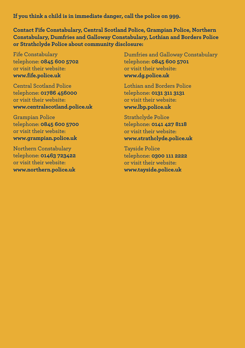**If you think a child is in immediate danger, call the police on 999.**

**Contact Fife Constabulary, Central Scotland Police, Grampian Police, Northern Constabulary, Dumfries and Galloway Constabulary, Lothian and Borders Police or Strathclyde Police about community disclosure:**

Fife Constabulary telephone: **0845 600 5702** or visit their website: **www.fife.police.uk**

Central Scotland Police telephone: **01786 456000** or visit their website: **www.centralscotland.police.uk**

Grampian Police telephone: **0845 600 5700** or visit their website: **www.grampian.police.uk**

Northern Constabulary telephone: **01463 723422** or visit their website: **www.northern.police.uk**

Dumfries and Galloway Constabulary telephone: **0845 600 5701** or visit their website: **www.dg.police.uk**

Lothian and Borders Police telephone: **0131 311 3131** or visit their website: **www.lbp.police.uk**

Strathclyde Police telephone: **0141 427 8118** or visit their website: **www.strathclyde.police.uk**

Tayside Police telephone: **0300 111 2222** or visit their website: **www.tayside.police.uk**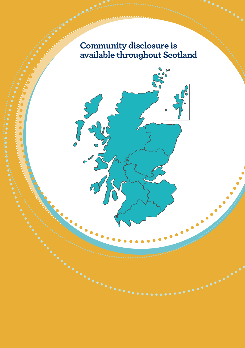## **Community disclosure is available throughout Scotland**

O